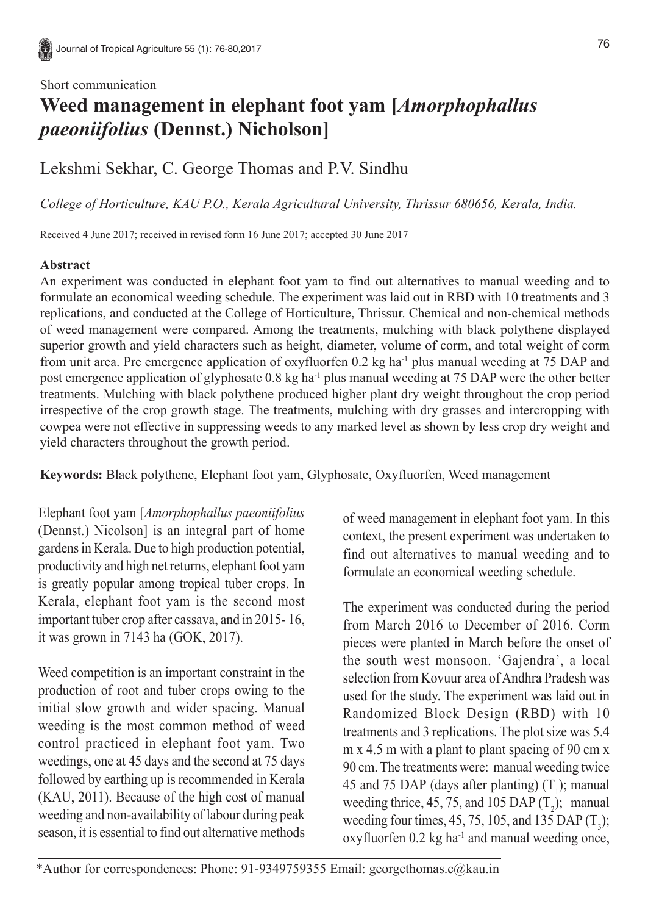#### Short communication

# **Weed management in elephant foot yam [***Amorphophallus paeoniifolius* **(Dennst.) Nicholson]**

## Lekshmi Sekhar, C. George Thomas and P.V. Sindhu

*College of Horticulture, KAU P.O., Kerala Agricultural University, Thrissur 680656, Kerala, India.*

Received 4 June 2017; received in revised form 16 June 2017; accepted 30 June 2017

### **Abstract**

An experiment was conducted in elephant foot yam to find out alternatives to manual weeding and to formulate an economical weeding schedule. The experiment was laid out in RBD with 10 treatments and 3 replications, and conducted at the College of Horticulture, Thrissur. Chemical and non-chemical methods of weed management were compared. Among the treatments, mulching with black polythene displayed superior growth and yield characters such as height, diameter, volume of corm, and total weight of corm from unit area. Pre emergence application of oxyfluorfen 0.2 kg ha<sup>-1</sup> plus manual weeding at 75 DAP and post emergence application of glyphosate 0.8 kg ha<sup>-1</sup> plus manual weeding at 75 DAP were the other better treatments. Mulching with black polythene produced higher plant dry weight throughout the crop period irrespective of the crop growth stage. The treatments, mulching with dry grasses and intercropping with cowpea were not effective in suppressing weeds to any marked level as shown by less crop dry weight and yield characters throughout the growth period.

**Keywords:** Black polythene, Elephant foot yam, Glyphosate, Oxyfluorfen, Weed management

Elephant foot yam [*Amorphophallus paeoniifolius* (Dennst.) Nicolson] is an integral part of home gardens in Kerala. Due to high production potential, productivity and high net returns, elephant foot yam is greatly popular among tropical tuber crops. In Kerala, elephant foot yam is the second most important tuber crop after cassava, and in 2015- 16, it was grown in 7143 ha (GOK, 2017).

Weed competition is an important constraint in the production of root and tuber crops owing to the initial slow growth and wider spacing. Manual weeding is the most common method of weed control practiced in elephant foot yam. Two weedings, one at 45 days and the second at 75 days followed by earthing up is recommended in Kerala (KAU, 2011). Because of the high cost of manual weeding and non-availability of labour during peak season, it is essential to find out alternative methods

of weed management in elephant foot yam. In this context, the present experiment was undertaken to find out alternatives to manual weeding and to formulate an economical weeding schedule.

The experiment was conducted during the period from March 2016 to December of 2016. Corm pieces were planted in March before the onset of the south west monsoon. 'Gajendra', a local selection from Kovuur area of Andhra Pradesh was used for the study. The experiment was laid out in Randomized Block Design (RBD) with 10 treatments and 3 replications. The plot size was 5.4 m x 4.5 m with a plant to plant spacing of 90 cm x 90 cm. The treatments were: manual weeding twice 45 and 75 DAP (days after planting)  $(T_1)$ ; manual weeding thrice, 45, 75, and 105 DAP  $(T_2)$ ; manual weeding four times, 45, 75, 105, and 135 DAP  $(T_3)$ ; oxyfluorfen 0.2 kg ha<sup>-1</sup> and manual weeding once,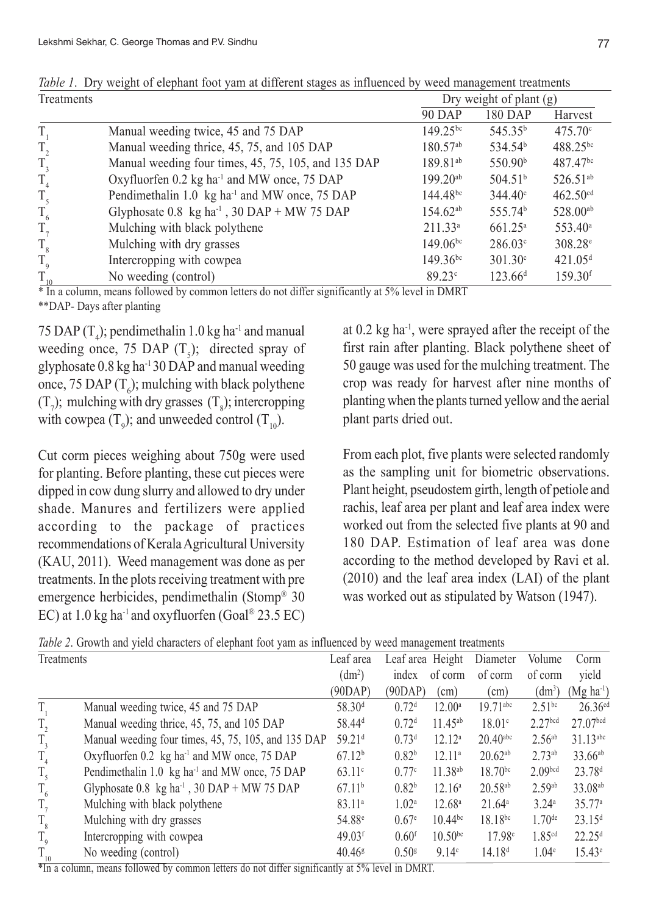| <b>90 DAP</b><br>$149.25^{bc}$<br>Manual weeding twice, 45 and 75 DAP                                          | 180 DAP<br>545.35 <sup>b</sup><br>534.54 <sup>b</sup> | Harvest<br>$475.70^{\circ}$ |
|----------------------------------------------------------------------------------------------------------------|-------------------------------------------------------|-----------------------------|
|                                                                                                                |                                                       |                             |
|                                                                                                                |                                                       |                             |
| Manual weeding thrice, 45, 75, and 105 DAP<br>$180.57^{ab}$<br>$T_{2}$                                         |                                                       | 488.25bc                    |
| $T_{3}$<br>189.81 <sup>ab</sup><br>Manual weeding four times, 45, 75, 105, and 135 DAP                         | 550.90 <sup>b</sup>                                   | 487.47 <sup>bc</sup>        |
| $T_{4}$<br>Oxyfluorfen 0.2 kg ha <sup>-1</sup> and MW once, 75 DAP<br>$199.20^{ab}$                            | 504.51 <sup>b</sup>                                   | 526.51 <sup>ab</sup>        |
| Pendimethalin 1.0 kg ha <sup>-1</sup> and MW once, 75 DAP<br>$144.48^{bc}$<br>$T_{\rm 5}$                      | $344.40^{\circ}$                                      | $462.50$ <sup>cd</sup>      |
| $T_{6}$<br>$154.62^{ab}$<br>Glyphosate $0.8 \text{ kg ha}^{-1}$ , $30 \text{ DAP} + \text{MW } 75 \text{ DAP}$ | 555.74 <sup>b</sup>                                   | 528.00ab                    |
| $T_{7}$<br>Mulching with black polythene<br>$211.33^a$                                                         | $661.25^{\circ}$                                      | $553.40^{\circ}$            |
| $T_{\rm s}$<br>$149.06^{bc}$<br>Mulching with dry grasses                                                      | $286.03^{\circ}$                                      | $308.28^{\circ}$            |
| $149.36^{bc}$<br>$T_{\rm q}$<br>Intercropping with cowpea                                                      | $301.30^{\circ}$                                      | 421.05 <sup>d</sup>         |
| $T_{10}$<br>89.23c<br>No weeding (control)                                                                     | 123.66 <sup>d</sup>                                   | $159.30$ <sup>f</sup>       |

*Table 1*. Dry weight of elephant foot yam at different stages as influenced by weed management treatments  $\frac{1}{\text{Tr}}$ 

\* In a column, means followed by common letters do not differ significantly at 5% level in DMRT \*\*DAP- Days after planting

75 DAP  $(T_4)$ ; pendimethalin 1.0 kg ha<sup>-1</sup> and manual weeding once, 75 DAP  $(T<sub>5</sub>)$ ; directed spray of glyphosate 0.8 kg ha-1 30 DAP and manual weeding once, 75 DAP  $(T_6)$ ; mulching with black polythene  $(T_7)$ ; mulching with dry grasses  $(T_8)$ ; intercropping with cowpea  $(T_{9})$ ; and unweeded control  $(T_{10})$ .

Cut corm pieces weighing about 750g were used for planting. Before planting, these cut pieces were dipped in cow dung slurry and allowed to dry under shade. Manures and fertilizers were applied according to the package of practices recommendations of Kerala Agricultural University (KAU, 2011). Weed management was done as per treatments. In the plots receiving treatment with pre emergence herbicides, pendimethalin (Stomp® 30 EC) at  $1.0$  kg ha<sup>-1</sup> and oxyfluorfen (Goal® 23.5 EC)

at 0.2 kg ha-1, were sprayed after the receipt of the first rain after planting. Black polythene sheet of 50 gauge was used for the mulching treatment. The crop was ready for harvest after nine months of planting when the plants turned yellow and the aerial plant parts dried out.

From each plot, five plants were selected randomly as the sampling unit for biometric observations. Plant height, pseudostem girth, length of petiole and rachis, leaf area per plant and leaf area index were worked out from the selected five plants at 90 and 180 DAP. Estimation of leaf area was done according to the method developed by Ravi et al. (2010) and the leaf area index (LAI) of the plant was worked out as stipulated by Watson (1947).

*Table 2*. Growth and yield characters of elephant foot yam as influenced by weed management treatments

| Treatments      |                                                                                   | Leaf area            | Leaf area Height  |                    | Diameter               | Volume               | Corm                   |
|-----------------|-----------------------------------------------------------------------------------|----------------------|-------------------|--------------------|------------------------|----------------------|------------------------|
|                 |                                                                                   | (dm <sup>2</sup> )   | index             | of corm            | of corm                | of corm              | yield                  |
|                 |                                                                                   | (90DAP)              | (90DAP)           | $\text{cm}$        | (cm)                   | (dm <sup>3</sup> )   | $(Mg ha-1)$            |
| T,              | Manual weeding twice, 45 and 75 DAP                                               | 58.30 <sup>d</sup>   | 0.72 <sup>d</sup> | $12.00^{\circ}$    | $19.71$ <sup>abc</sup> | $2.51^{bc}$          | $26.36^{cd}$           |
| $T_{2}$         | Manual weeding thrice, 45, 75, and 105 DAP                                        | 58.44 <sup>d</sup>   | 0.72 <sup>d</sup> | $11.45^{ab}$       | 18.01c                 | 2.27 <sub>bcd</sub>  | 27.07 <sub>bcd</sub>   |
| $T_{3}$         | Manual weeding four times, 45, 75, 105, and 135 DAP                               | 59.21 <sup>d</sup>   | 0.73 <sup>d</sup> | 12.12 <sup>a</sup> | $20.40$ <sup>abc</sup> | $2.56^{ab}$          | $31.13$ <sup>abc</sup> |
| $T_{4}$         | Oxyfluorfen 0.2 kg ha <sup>-1</sup> and MW once, 75 DAP                           | 67.12 <sup>b</sup>   | 0.82 <sup>b</sup> | 12.11 <sup>a</sup> | $20.62^{ab}$           | $2.73^{ab}$          | $33.66^{ab}$           |
| $T_{\rm 5}$     | Pendimethalin 1.0 kg ha <sup>-1</sup> and MW once, 75 DAP                         | $63.11^{\circ}$      | 0.77c             | $11.38^{ab}$       | $18.70^{bc}$           | 2.09 <sub>bcd</sub>  | 23.78 <sup>d</sup>     |
| $T_{6}$         | Glyphosate $0.8 \text{ kg} \text{ ha}^{-1}$ , $30 \text{ DAP} + \text{MW}$ 75 DAP | 67.11 <sup>b</sup>   | 0.82 <sup>b</sup> | $12.16^a$          | $20.58^{ab}$           | $2.59^{ab}$          | 33.08 <sup>ab</sup>    |
| $T_{7}$         | Mulching with black polythene                                                     | $83.11^{a}$          | 1.02 <sup>a</sup> | $12.68^{\circ}$    | $21.64^{\circ}$        | 3.24 <sup>a</sup>    | 35.77a                 |
| $\rm T_{\rm 8}$ | Mulching with dry grasses                                                         | 54.88 <sup>e</sup>   | 0.67 <sup>e</sup> | $10.44^{bc}$       | $18.18^{bc}$           | $1.70$ <sup>de</sup> | 23.15 <sup>d</sup>     |
| $T_{\text{g}}$  | Intercropping with cowpea                                                         | $49.03$ <sup>f</sup> | 0.60 <sup>f</sup> | $10.50^{bc}$       | 17.98c                 | 1.85 <sup>cd</sup>   | 22.25 <sup>d</sup>     |
| $T_{10}$        | No weeding (control)                                                              | $40.46$ <sup>g</sup> | 0.50 <sup>g</sup> | 9.14c              | 14.18 <sup>d</sup>     | $1.04^e$             | $15.43^e$              |

\*In a column, means followed by common letters do not differ significantly at 5% level in DMRT.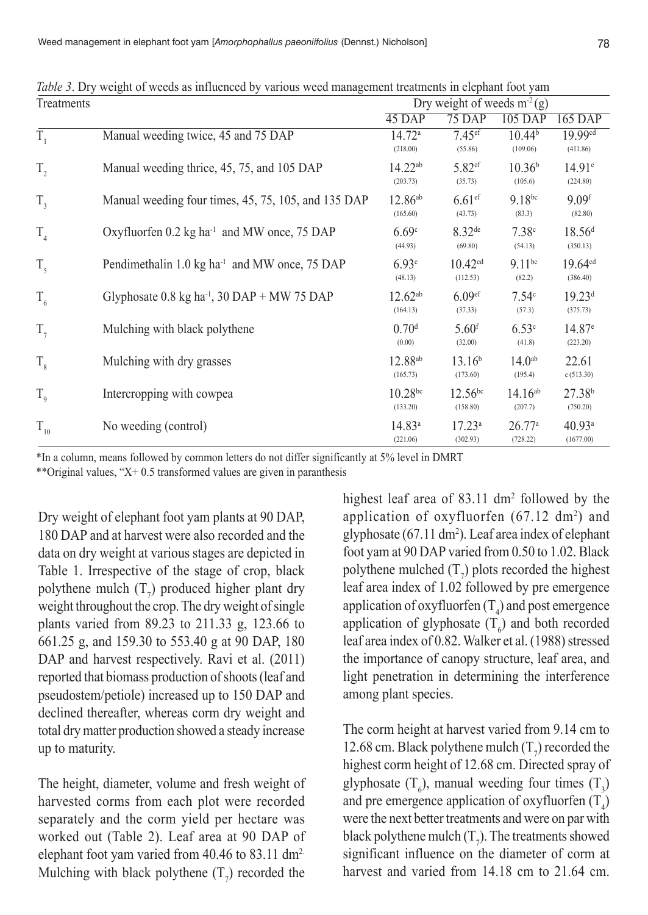| Treatments         |                                                                   | Dry weight of weeds $m^2(g)$    |                                 |                                |                                 |  |  |
|--------------------|-------------------------------------------------------------------|---------------------------------|---------------------------------|--------------------------------|---------------------------------|--|--|
|                    |                                                                   | 45 DAP                          | 75 DAP                          | $105$ DAP                      | 165 DAP                         |  |  |
| $\overline{T_{1}}$ | Manual weeding twice, 45 and 75 DAP                               | 14.72 <sup>a</sup><br>(218.00)  | $7.45$ <sup>ef</sup><br>(55.86) | 10.44 <sup>b</sup><br>(109.06) | 19.99cd<br>(411.86)             |  |  |
| $T_{2}$            | Manual weeding thrice, 45, 75, and 105 DAP                        | 14.22 <sup>ab</sup><br>(203.73) | 5.82 <sup>ef</sup><br>(35.73)   | 10.36 <sup>b</sup><br>(105.6)  | $14.91^{\circ}$<br>(224.80)     |  |  |
| $T_{3}$            | Manual weeding four times, 45, 75, 105, and 135 DAP               | $12.86^{ab}$<br>(165.60)        | $6.61$ <sup>ef</sup><br>(43.73) | $9.18^{bc}$<br>(83.3)          | 9.09 <sup>f</sup><br>(82.80)    |  |  |
| $T_{4}$            | Oxyfluorfen 0.2 kg ha <sup>-1</sup> and MW once, 75 DAP           | 6.69c<br>(44.93)                | $8.32^{de}$<br>(69.80)          | 7.38c<br>(54.13)               | 18.56 <sup>d</sup><br>(350.13)  |  |  |
| $T_{\rm s}$        | Pendimethalin 1.0 kg ha <sup>-1</sup> and MW once, 75 DAP         | 6.93c<br>(48.13)                | 10.42 <sup>cd</sup><br>(112.53) | $9.11^{bc}$<br>(82.2)          | 19.64 <sup>cd</sup><br>(386.40) |  |  |
| $T_{6}$            | Glyphosate $0.8 \text{ kg}$ ha <sup>-1</sup> , 30 DAP + MW 75 DAP | $12.62^{ab}$<br>(164.13)        | 6.09 <sup>ef</sup><br>(37.33)   | 7.54 <sup>c</sup><br>(57.3)    | 19.23 <sup>d</sup><br>(375.73)  |  |  |
| $T_{7}$            | Mulching with black polythene                                     | 0.70 <sup>d</sup><br>(0.00)     | $5.60$ <sup>f</sup><br>(32.00)  | 6.53c<br>(41.8)                | 14.87 <sup>e</sup><br>(223.20)  |  |  |
| $T_{8}$            | Mulching with dry grasses                                         | 12.88 <sup>ab</sup><br>(165.73) | 13.16 <sup>b</sup><br>(173.60)  | 14.0 <sup>ab</sup><br>(195.4)  | 22.61<br>c(513.30)              |  |  |
| $T_{\rm q}$        | Intercropping with cowpea                                         | $10.28^{bc}$<br>(133.20)        | $12.56^{bc}$<br>(158.80)        | $14.16^{ab}$<br>(207.7)        | 27.38 <sup>b</sup><br>(750.20)  |  |  |
| $T_{10}$           | No weeding (control)                                              | $14.83^a$<br>(221.06)           | $17.23^a$<br>(302.93)           | 26.77a<br>(728.22)             | 40.93 <sup>a</sup><br>(1677.00) |  |  |

*Table 3*. Dry weight of weeds as influenced by various weed management treatments in elephant foot yam

\*In a column, means followed by common letters do not differ significantly at 5% level in DMRT \*\*Original values, " $X+ 0.5$  transformed values are given in paranthesis

Dry weight of elephant foot yam plants at 90 DAP, 180 DAP and at harvest were also recorded and the data on dry weight at various stages are depicted in Table 1. Irrespective of the stage of crop, black polythene mulch  $(T_7)$  produced higher plant dry weight throughout the crop. The dry weight of single plants varied from 89.23 to 211.33 g, 123.66 to 661.25 g, and 159.30 to 553.40 g at 90 DAP, 180 DAP and harvest respectively. Ravi et al.  $(2011)$ reported that biomass production of shoots (leaf and pseudostem/petiole) increased up to 150 DAP and declined thereafter, whereas corm dry weight and total dry matter production showed a steady increase up to maturity.

The height, diameter, volume and fresh weight of harvested corms from each plot were recorded separately and the corm yield per hectare was worked out (Table 2). Leaf area at 90 DAP of elephant foot yam varied from 40.46 to 83.11 dm2. Mulching with black polythene  $(T_7)$  recorded the

highest leaf area of 83.11 dm<sup>2</sup> followed by the application of oxyfluorfen  $(67.12 \text{ dm}^2)$  and glyphosate  $(67.11 \text{ dm}^2)$ . Leaf area index of elephant foot yam at 90 DAP varied from 0.50 to 1.02. Black polythene mulched  $(T_7)$  plots recorded the highest leaf area index of 1.02 followed by pre emergence application of oxyfluorfen ( $T_4$ ) and post emergence application of glyphosate  $(T_6)$  and both recorded leaf area index of 0.82. Walker et al. (1988) stressed the importance of canopy structure, leaf area, and light penetration in determining the interference among plant species.

The corm height at harvest varied from 9.14 cm to 12.68 cm. Black polythene mulch  $(T_7)$  recorded the highest corm height of 12.68 cm. Directed spray of glyphosate  $(T_6)$ , manual weeding four times  $(T_3)$ and pre emergence application of oxyfluorfen  $(T_4)$ were the next better treatments and were on par with black polythene mulch  $(T_7)$ . The treatments showed significant influence on the diameter of corm at harvest and varied from 14.18 cm to 21.64 cm.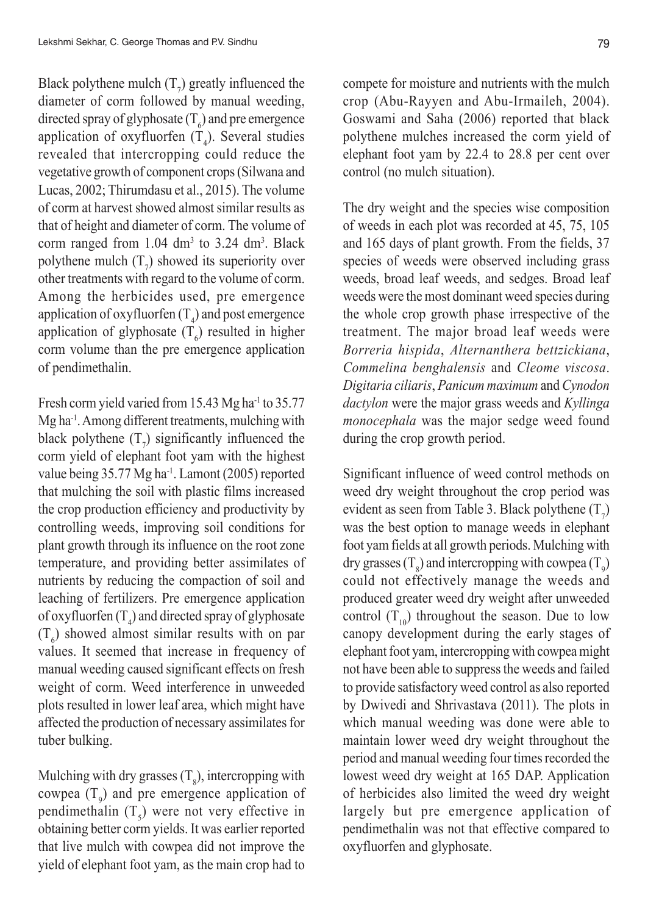Black polythene mulch  $(T_7)$  greatly influenced the diameter of corm followed by manual weeding, directed spray of glyphosate ( $T<sub>6</sub>$ ) and pre emergence application of oxyfluorfen  $(T_4)$ . Several studies revealed that intercropping could reduce the vegetative growth of component crops (Silwana and Lucas, 2002; Thirumdasu et al., 2015). The volume of corm at harvest showed almost similar results as that of height and diameter of corm. The volume of corm ranged from  $1.04 \text{ dm}^3$  to  $3.24 \text{ dm}^3$ . Black polythene mulch  $(T_7)$  showed its superiority over other treatments with regard to the volume of corm. Among the herbicides used, pre emergence application of oxyfluorfen ( $T_4$ ) and post emergence application of glyphosate  $(T_6)$  resulted in higher corm volume than the pre emergence application of pendimethalin.

Fresh corm yield varied from 15.43 Mg ha<sup>-1</sup> to 35.77 Mg ha-1. Among different treatments, mulching with black polythene  $(T_7)$  significantly influenced the corm yield of elephant foot yam with the highest value being 35.77 Mg ha<sup>-1</sup>. Lamont (2005) reported that mulching the soil with plastic films increased the crop production efficiency and productivity by controlling weeds, improving soil conditions for plant growth through its influence on the root zone temperature, and providing better assimilates of nutrients by reducing the compaction of soil and leaching of fertilizers. Pre emergence application of oxyfluorfen ( $T_4$ ) and directed spray of glyphosate  $(T_6)$  showed almost similar results with on par values. It seemed that increase in frequency of manual weeding caused significant effects on fresh weight of corm. Weed interference in unweeded plots resulted in lower leaf area, which might have affected the production of necessary assimilates for tuber bulking.

Mulching with dry grasses  $(T<sub>8</sub>)$ , intercropping with cowpea  $(T<sub>9</sub>)$  and pre emergence application of pendimethalin  $(T<sub>5</sub>)$  were not very effective in obtaining better corm yields. It was earlier reported that live mulch with cowpea did not improve the yield of elephant foot yam, as the main crop had to compete for moisture and nutrients with the mulch crop (Abu-Rayyen and Abu-Irmaileh, 2004). Goswami and Saha (2006) reported that black polythene mulches increased the corm yield of elephant foot yam by 22.4 to 28.8 per cent over control (no mulch situation).

The dry weight and the species wise composition of weeds in each plot was recorded at 45, 75, 105 and 165 days of plant growth. From the fields, 37 species of weeds were observed including grass weeds, broad leaf weeds, and sedges. Broad leaf weeds were the most dominant weed species during the whole crop growth phase irrespective of the treatment. The major broad leaf weeds were *Borreria hispida*, *Alternanthera bettzickiana*, *Commelina benghalensis* and *Cleome viscosa*. *Digitaria ciliaris*, *Panicum maximum* and *Cynodon dactylon* were the major grass weeds and *Kyllinga monocephala* was the major sedge weed found during the crop growth period.

Significant influence of weed control methods on weed dry weight throughout the crop period was evident as seen from Table 3. Black polythene  $(T_7)$ was the best option to manage weeds in elephant foot yam fields at all growth periods. Mulching with dry grasses (T<sub>8</sub>) and intercropping with cowpea (T<sub>9</sub>) could not effectively manage the weeds and produced greater weed dry weight after unweeded control  $(T_{10})$  throughout the season. Due to low canopy development during the early stages of elephant foot yam, intercropping with cowpea might not have been able to suppress the weeds and failed to provide satisfactory weed control as also reported by Dwivedi and Shrivastava (2011). The plots in which manual weeding was done were able to maintain lower weed dry weight throughout the period and manual weeding four times recorded the lowest weed dry weight at 165 DAP. Application of herbicides also limited the weed dry weight largely but pre emergence application of pendimethalin was not that effective compared to oxyfluorfen and glyphosate.